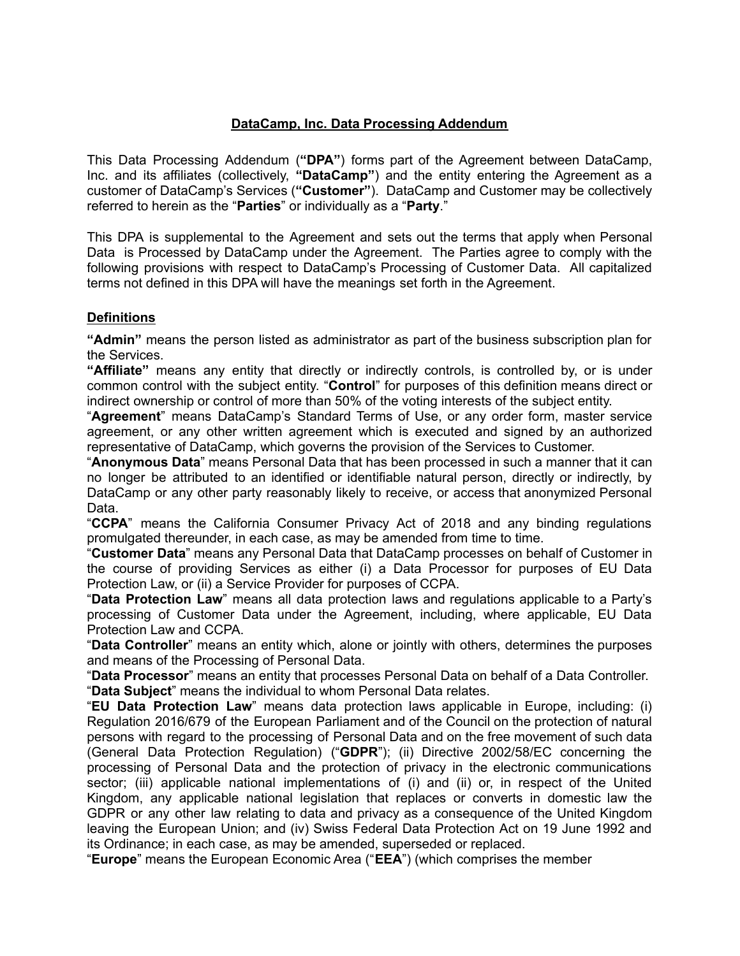# **DataCamp, Inc. Data Processing Addendum**

This Data Processing Addendum (**"DPA"**) forms part of the Agreement between DataCamp, Inc. and its affiliates (collectively, **"DataCamp"**) and the entity entering the Agreement as a customer of DataCamp's Services (**"Customer"**). DataCamp and Customer may be collectively referred to herein as the "**Parties**" or individually as a "**Party**."

This DPA is supplemental to the Agreement and sets out the terms that apply when Personal Data is Processed by DataCamp under the Agreement. The Parties agree to comply with the following provisions with respect to DataCamp's Processing of Customer Data. All capitalized terms not defined in this DPA will have the meanings set forth in the Agreement.

### **Definitions**

**"Admin"** means the person listed as administrator as part of the business subscription plan for the Services.

**"Affiliate"** means any entity that directly or indirectly controls, is controlled by, or is under common control with the subject entity. "**Control**" for purposes of this definition means direct or indirect ownership or control of more than 50% of the voting interests of the subject entity.

"**Agreement**" means DataCamp's Standard Terms of Use, or any order form, master service agreement, or any other written agreement which is executed and signed by an authorized representative of DataCamp, which governs the provision of the Services to Customer.

"**Anonymous Data**" means Personal Data that has been processed in such a manner that it can no longer be attributed to an identified or identifiable natural person, directly or indirectly, by DataCamp or any other party reasonably likely to receive, or access that anonymized Personal Data.

"**CCPA**" means the California Consumer Privacy Act of 2018 and any binding regulations promulgated thereunder, in each case, as may be amended from time to time.

"**Customer Data**" means any Personal Data that DataCamp processes on behalf of Customer in the course of providing Services as either (i) a Data Processor for purposes of EU Data Protection Law, or (ii) a Service Provider for purposes of CCPA.

"**Data Protection Law**" means all data protection laws and regulations applicable to a Party's processing of Customer Data under the Agreement, including, where applicable, EU Data Protection Law and CCPA.

"**Data Controller**" means an entity which, alone or jointly with others, determines the purposes and means of the Processing of Personal Data.

"**Data Processor**" means an entity that processes Personal Data on behalf of a Data Controller. "**Data Subject**" means the individual to whom Personal Data relates.

"**EU Data Protection Law**" means data protection laws applicable in Europe, including: (i) Regulation 2016/679 of the European Parliament and of the Council on the protection of natural persons with regard to the processing of Personal Data and on the free movement of such data (General Data Protection Regulation) ("**GDPR**"); (ii) Directive 2002/58/EC concerning the processing of Personal Data and the protection of privacy in the electronic communications sector; (iii) applicable national implementations of (i) and (ii) or, in respect of the United Kingdom, any applicable national legislation that replaces or converts in domestic law the GDPR or any other law relating to data and privacy as a consequence of the United Kingdom leaving the European Union; and (iv) Swiss Federal Data Protection Act on 19 June 1992 and its Ordinance; in each case, as may be amended, superseded or replaced.

"**Europe**" means the European Economic Area ("**EEA**") (which comprises the member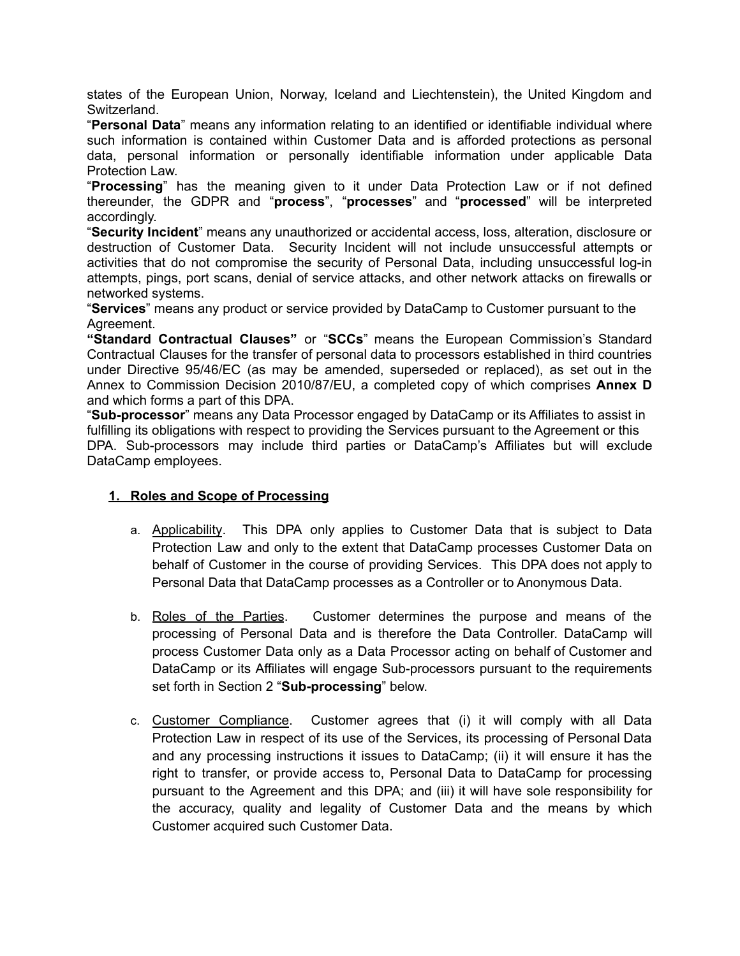states of the European Union, Norway, Iceland and Liechtenstein), the United Kingdom and Switzerland.

"**Personal Data**" means any information relating to an identified or identifiable individual where such information is contained within Customer Data and is afforded protections as personal data, personal information or personally identifiable information under applicable Data Protection Law.

"**Processing**" has the meaning given to it under Data Protection Law or if not defined thereunder, the GDPR and "**process**", "**processes**" and "**processed**" will be interpreted accordingly.

"**Security Incident**" means any unauthorized or accidental access, loss, alteration, disclosure or destruction of Customer Data. Security Incident will not include unsuccessful attempts or activities that do not compromise the security of Personal Data, including unsuccessful log-in attempts, pings, port scans, denial of service attacks, and other network attacks on firewalls or networked systems.

"**Services**" means any product or service provided by DataCamp to Customer pursuant to the Agreement.

**"Standard Contractual Clauses"** or "**SCCs**" means the European Commission's Standard Contractual Clauses for the transfer of personal data to processors established in third countries under Directive 95/46/EC (as may be amended, superseded or replaced), as set out in the Annex to Commission Decision 2010/87/EU, a completed copy of which comprises **Annex D** and which forms a part of this DPA.

"**Sub-processor**" means any Data Processor engaged by DataCamp or its Affiliates to assist in fulfilling its obligations with respect to providing the Services pursuant to the Agreement or this DPA. Sub-processors may include third parties or DataCamp's Affiliates but will exclude DataCamp employees.

# **1. Roles and Scope of Processing**

- a. **Applicability**. This DPA only applies to Customer Data that is subject to Data Protection Law and only to the extent that DataCamp processes Customer Data on behalf of Customer in the course of providing Services. This DPA does not apply to Personal Data that DataCamp processes as a Controller or to Anonymous Data.
- b. Roles of the Parties. Customer determines the purpose and means of the processing of Personal Data and is therefore the Data Controller. DataCamp will process Customer Data only as a Data Processor acting on behalf of Customer and DataCamp or its Affiliates will engage Sub-processors pursuant to the requirements set forth in Section 2 "**Sub-processing**" below.
- c. Customer Compliance. Customer agrees that (i) it will comply with all Data Protection Law in respect of its use of the Services, its processing of Personal Data and any processing instructions it issues to DataCamp; (ii) it will ensure it has the right to transfer, or provide access to, Personal Data to DataCamp for processing pursuant to the Agreement and this DPA; and (iii) it will have sole responsibility for the accuracy, quality and legality of Customer Data and the means by which Customer acquired such Customer Data.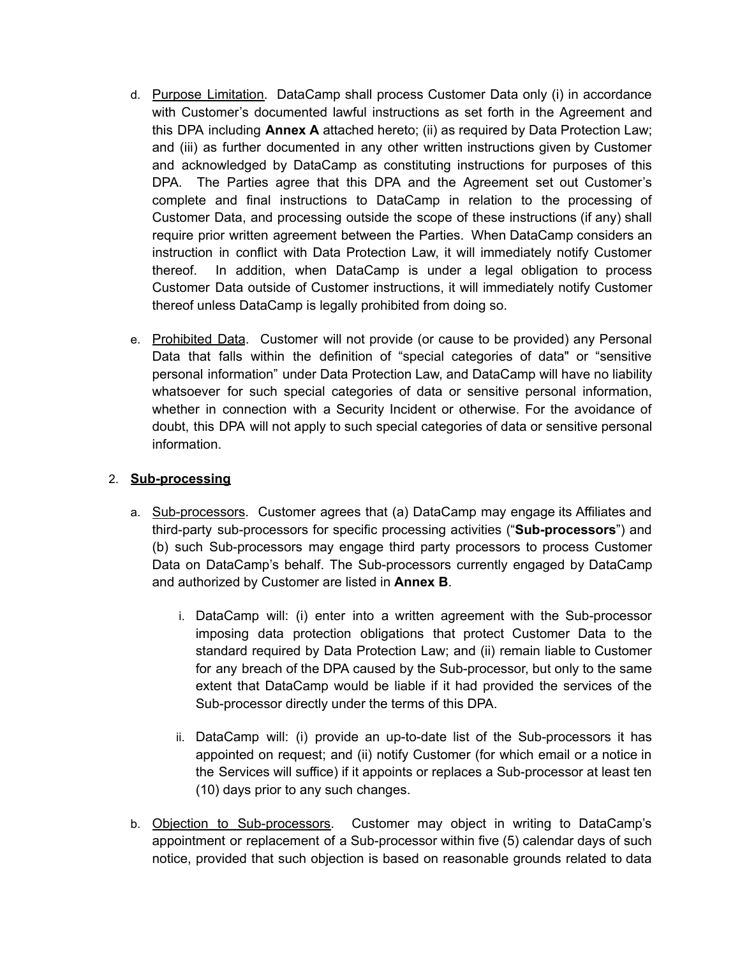- d. Purpose Limitation. DataCamp shall process Customer Data only (i) in accordance with Customer's documented lawful instructions as set forth in the Agreement and this DPA including **Annex A** attached hereto; (ii) as required by Data Protection Law; and (iii) as further documented in any other written instructions given by Customer and acknowledged by DataCamp as constituting instructions for purposes of this DPA. The Parties agree that this DPA and the Agreement set out Customer's complete and final instructions to DataCamp in relation to the processing of Customer Data, and processing outside the scope of these instructions (if any) shall require prior written agreement between the Parties. When DataCamp considers an instruction in conflict with Data Protection Law, it will immediately notify Customer thereof. In addition, when DataCamp is under a legal obligation to process Customer Data outside of Customer instructions, it will immediately notify Customer thereof unless DataCamp is legally prohibited from doing so.
- e. Prohibited Data. Customer will not provide (or cause to be provided) any Personal Data that falls within the definition of "special categories of data" or "sensitive personal information" under Data Protection Law, and DataCamp will have no liability whatsoever for such special categories of data or sensitive personal information, whether in connection with a Security Incident or otherwise. For the avoidance of doubt, this DPA will not apply to such special categories of data or sensitive personal information.

# 2. **Sub-processing**

- a. Sub-processors. Customer agrees that (a) DataCamp may engage its Affiliates and third-party sub-processors for specific processing activities ("**Sub-processors**") and (b) such Sub-processors may engage third party processors to process Customer Data on DataCamp's behalf. The Sub-processors currently engaged by DataCamp and authorized by Customer are listed in **Annex B**.
	- i. DataCamp will: (i) enter into a written agreement with the Sub-processor imposing data protection obligations that protect Customer Data to the standard required by Data Protection Law; and (ii) remain liable to Customer for any breach of the DPA caused by the Sub-processor, but only to the same extent that DataCamp would be liable if it had provided the services of the Sub-processor directly under the terms of this DPA.
	- ii. DataCamp will: (i) provide an up-to-date list of the Sub-processors it has appointed on request; and (ii) notify Customer (for which email or a notice in the Services will suffice) if it appoints or replaces a Sub-processor at least ten (10) days prior to any such changes.
- b. Objection to Sub-processors. Customer may object in writing to DataCamp's appointment or replacement of a Sub-processor within five (5) calendar days of such notice, provided that such objection is based on reasonable grounds related to data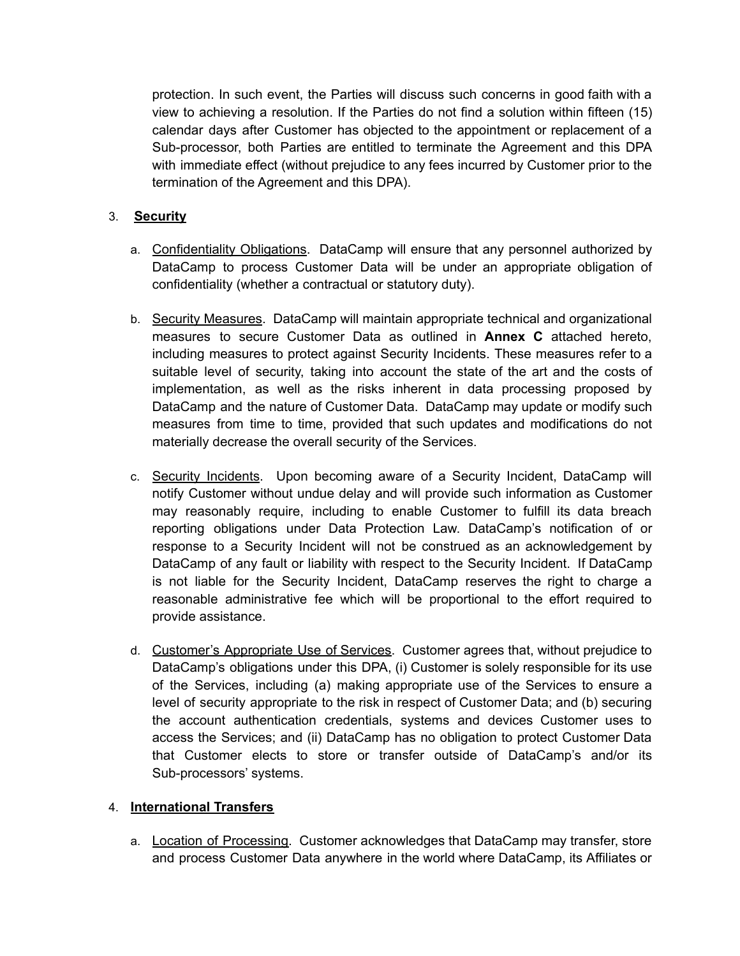protection. In such event, the Parties will discuss such concerns in good faith with a view to achieving a resolution. If the Parties do not find a solution within fifteen (15) calendar days after Customer has objected to the appointment or replacement of a Sub-processor, both Parties are entitled to terminate the Agreement and this DPA with immediate effect (without prejudice to any fees incurred by Customer prior to the termination of the Agreement and this DPA).

# 3. **Security**

- a. Confidentiality Obligations. DataCamp will ensure that any personnel authorized by DataCamp to process Customer Data will be under an appropriate obligation of confidentiality (whether a contractual or statutory duty).
- b. Security Measures. DataCamp will maintain appropriate technical and organizational measures to secure Customer Data as outlined in **Annex C** attached hereto, including measures to protect against Security Incidents. These measures refer to a suitable level of security, taking into account the state of the art and the costs of implementation, as well as the risks inherent in data processing proposed by DataCamp and the nature of Customer Data. DataCamp may update or modify such measures from time to time, provided that such updates and modifications do not materially decrease the overall security of the Services.
- c. Security Incidents. Upon becoming aware of a Security Incident, DataCamp will notify Customer without undue delay and will provide such information as Customer may reasonably require, including to enable Customer to fulfill its data breach reporting obligations under Data Protection Law. DataCamp's notification of or response to a Security Incident will not be construed as an acknowledgement by DataCamp of any fault or liability with respect to the Security Incident. If DataCamp is not liable for the Security Incident, DataCamp reserves the right to charge a reasonable administrative fee which will be proportional to the effort required to provide assistance.
- d. Customer's Appropriate Use of Services. Customer agrees that, without prejudice to DataCamp's obligations under this DPA, (i) Customer is solely responsible for its use of the Services, including (a) making appropriate use of the Services to ensure a level of security appropriate to the risk in respect of Customer Data; and (b) securing the account authentication credentials, systems and devices Customer uses to access the Services; and (ii) DataCamp has no obligation to protect Customer Data that Customer elects to store or transfer outside of DataCamp's and/or its Sub-processors' systems.

# 4. **International Transfers**

a. Location of Processing. Customer acknowledges that DataCamp may transfer, store and process Customer Data anywhere in the world where DataCamp, its Affiliates or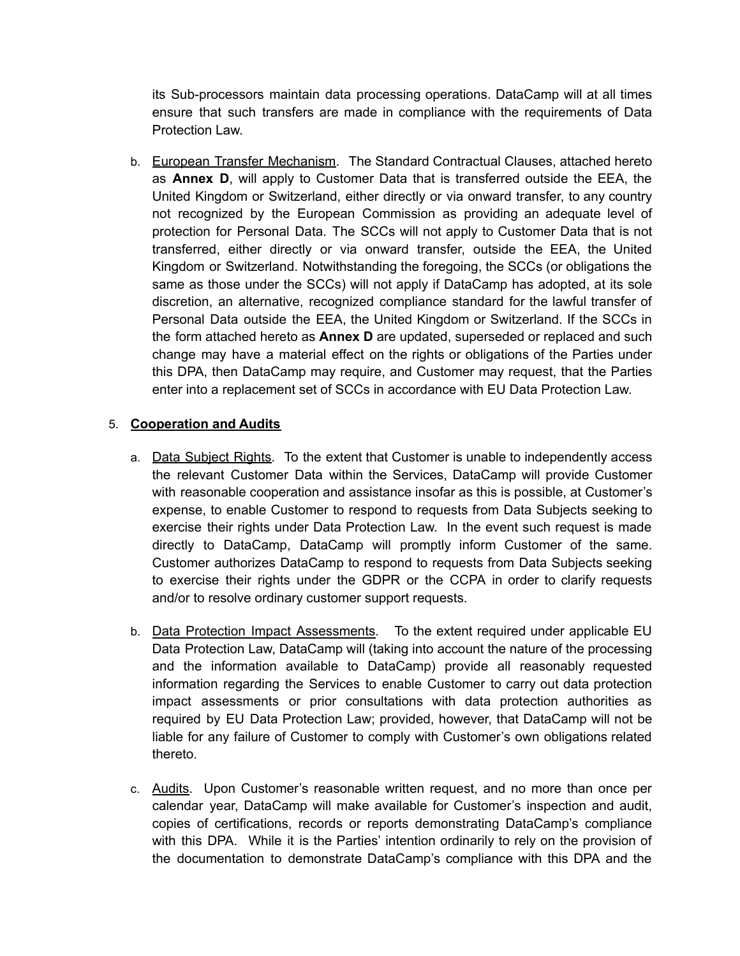its Sub-processors maintain data processing operations. DataCamp will at all times ensure that such transfers are made in compliance with the requirements of Data Protection Law.

b. European Transfer Mechanism. The Standard Contractual Clauses, attached hereto as **Annex D**, will apply to Customer Data that is transferred outside the EEA, the United Kingdom or Switzerland, either directly or via onward transfer, to any country not recognized by the European Commission as providing an adequate level of protection for Personal Data. The SCCs will not apply to Customer Data that is not transferred, either directly or via onward transfer, outside the EEA, the United Kingdom or Switzerland. Notwithstanding the foregoing, the SCCs (or obligations the same as those under the SCCs) will not apply if DataCamp has adopted, at its sole discretion, an alternative, recognized compliance standard for the lawful transfer of Personal Data outside the EEA, the United Kingdom or Switzerland. If the SCCs in the form attached hereto as **Annex D** are updated, superseded or replaced and such change may have a material effect on the rights or obligations of the Parties under this DPA, then DataCamp may require, and Customer may request, that the Parties enter into a replacement set of SCCs in accordance with EU Data Protection Law.

# 5. **Cooperation and Audits**

- a. Data Subject Rights. To the extent that Customer is unable to independently access the relevant Customer Data within the Services, DataCamp will provide Customer with reasonable cooperation and assistance insofar as this is possible, at Customer's expense, to enable Customer to respond to requests from Data Subjects seeking to exercise their rights under Data Protection Law. In the event such request is made directly to DataCamp, DataCamp will promptly inform Customer of the same. Customer authorizes DataCamp to respond to requests from Data Subjects seeking to exercise their rights under the GDPR or the CCPA in order to clarify requests and/or to resolve ordinary customer support requests.
- b. Data Protection Impact Assessments. To the extent required under applicable EU Data Protection Law, DataCamp will (taking into account the nature of the processing and the information available to DataCamp) provide all reasonably requested information regarding the Services to enable Customer to carry out data protection impact assessments or prior consultations with data protection authorities as required by EU Data Protection Law; provided, however, that DataCamp will not be liable for any failure of Customer to comply with Customer's own obligations related thereto.
- c. Audits. Upon Customer's reasonable written request, and no more than once per calendar year, DataCamp will make available for Customer's inspection and audit, copies of certifications, records or reports demonstrating DataCamp's compliance with this DPA. While it is the Parties' intention ordinarily to rely on the provision of the documentation to demonstrate DataCamp's compliance with this DPA and the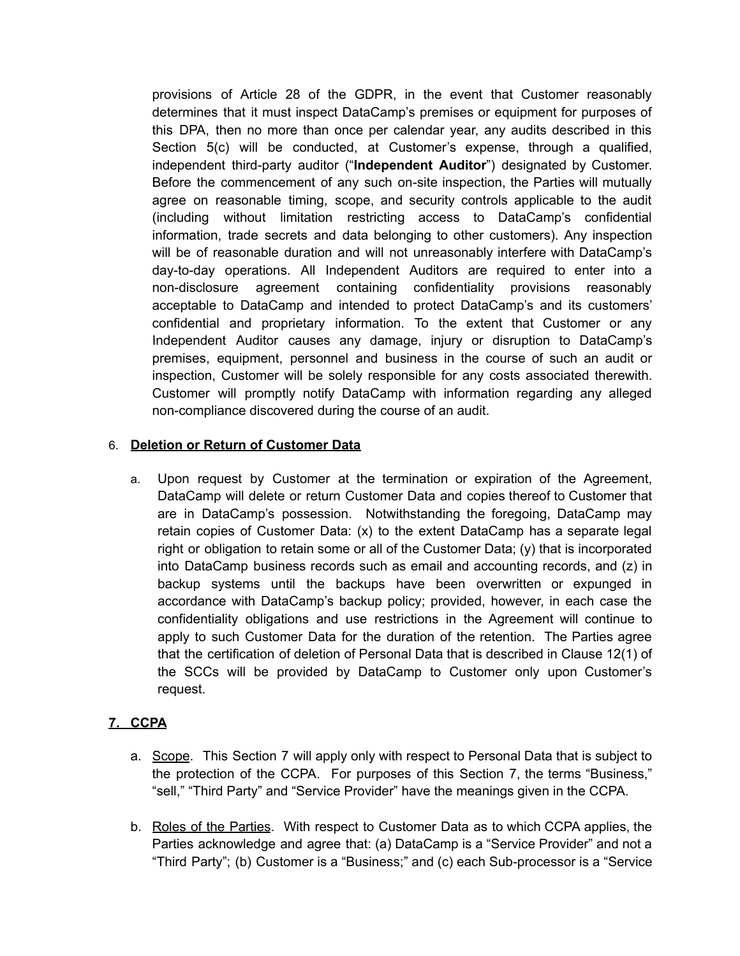provisions of Article 28 of the GDPR, in the event that Customer reasonably determines that it must inspect DataCamp's premises or equipment for purposes of this DPA, then no more than once per calendar year, any audits described in this Section 5(c) will be conducted, at Customer's expense, through a qualified, independent third-party auditor ("**Independent Auditor**") designated by Customer. Before the commencement of any such on-site inspection, the Parties will mutually agree on reasonable timing, scope, and security controls applicable to the audit (including without limitation restricting access to DataCamp's confidential information, trade secrets and data belonging to other customers). Any inspection will be of reasonable duration and will not unreasonably interfere with DataCamp's day-to-day operations. All Independent Auditors are required to enter into a non-disclosure agreement containing confidentiality provisions reasonably acceptable to DataCamp and intended to protect DataCamp's and its customers' confidential and proprietary information. To the extent that Customer or any Independent Auditor causes any damage, injury or disruption to DataCamp's premises, equipment, personnel and business in the course of such an audit or inspection, Customer will be solely responsible for any costs associated therewith. Customer will promptly notify DataCamp with information regarding any alleged non-compliance discovered during the course of an audit.

# 6. **Deletion or Return of Customer Data**

a. Upon request by Customer at the termination or expiration of the Agreement, DataCamp will delete or return Customer Data and copies thereof to Customer that are in DataCamp's possession. Notwithstanding the foregoing, DataCamp may retain copies of Customer Data: (x) to the extent DataCamp has a separate legal right or obligation to retain some or all of the Customer Data; (y) that is incorporated into DataCamp business records such as email and accounting records, and (z) in backup systems until the backups have been overwritten or expunged in accordance with DataCamp's backup policy; provided, however, in each case the confidentiality obligations and use restrictions in the Agreement will continue to apply to such Customer Data for the duration of the retention. The Parties agree that the certification of deletion of Personal Data that is described in Clause 12(1) of the SCCs will be provided by DataCamp to Customer only upon Customer's request.

# **7. CCPA**

- a. Scope. This Section 7 will apply only with respect to Personal Data that is subject to the protection of the CCPA. For purposes of this Section 7, the terms "Business," "sell," "Third Party" and "Service Provider" have the meanings given in the CCPA.
- b. Roles of the Parties. With respect to Customer Data as to which CCPA applies, the Parties acknowledge and agree that: (a) DataCamp is a "Service Provider" and not a "Third Party"; (b) Customer is a "Business;" and (c) each Sub-processor is a "Service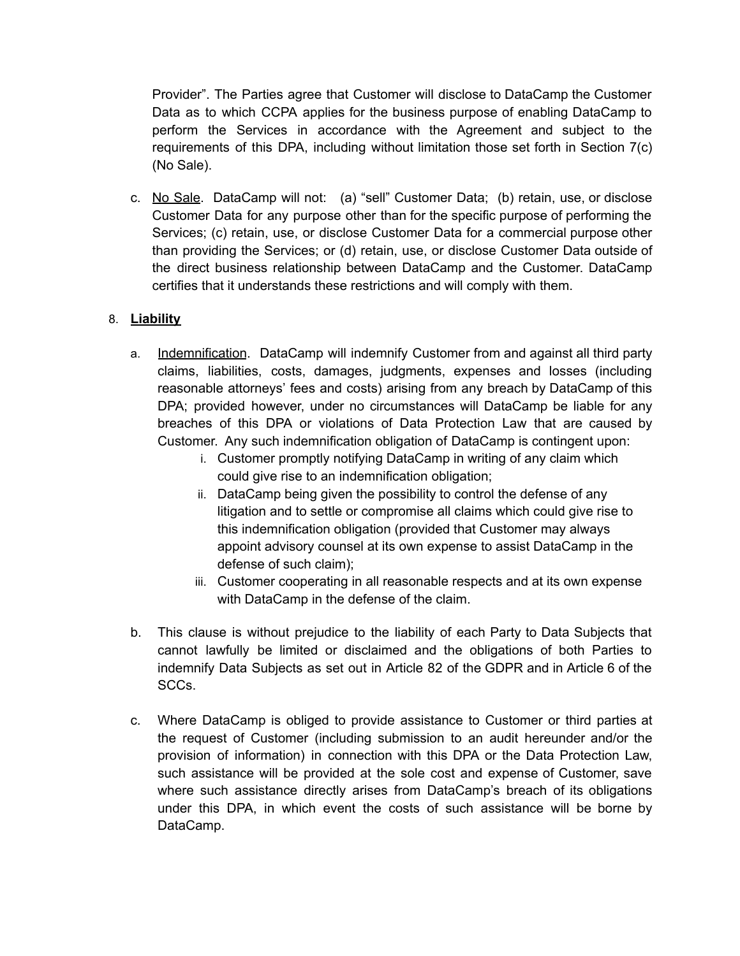Provider". The Parties agree that Customer will disclose to DataCamp the Customer Data as to which CCPA applies for the business purpose of enabling DataCamp to perform the Services in accordance with the Agreement and subject to the requirements of this DPA, including without limitation those set forth in Section 7(c) (No Sale).

c. No Sale. DataCamp will not: (a) "sell" Customer Data; (b) retain, use, or disclose Customer Data for any purpose other than for the specific purpose of performing the Services; (c) retain, use, or disclose Customer Data for a commercial purpose other than providing the Services; or (d) retain, use, or disclose Customer Data outside of the direct business relationship between DataCamp and the Customer. DataCamp certifies that it understands these restrictions and will comply with them.

# 8. **Liability**

- a. Indemnification. DataCamp will indemnify Customer from and against all third party claims, liabilities, costs, damages, judgments, expenses and losses (including reasonable attorneys' fees and costs) arising from any breach by DataCamp of this DPA; provided however, under no circumstances will DataCamp be liable for any breaches of this DPA or violations of Data Protection Law that are caused by Customer. Any such indemnification obligation of DataCamp is contingent upon:
	- i. Customer promptly notifying DataCamp in writing of any claim which could give rise to an indemnification obligation;
	- ii. DataCamp being given the possibility to control the defense of any litigation and to settle or compromise all claims which could give rise to this indemnification obligation (provided that Customer may always appoint advisory counsel at its own expense to assist DataCamp in the defense of such claim);
	- iii. Customer cooperating in all reasonable respects and at its own expense with DataCamp in the defense of the claim.
- b. This clause is without prejudice to the liability of each Party to Data Subjects that cannot lawfully be limited or disclaimed and the obligations of both Parties to indemnify Data Subjects as set out in Article 82 of the GDPR and in Article 6 of the SCCs.
- c. Where DataCamp is obliged to provide assistance to Customer or third parties at the request of Customer (including submission to an audit hereunder and/or the provision of information) in connection with this DPA or the Data Protection Law, such assistance will be provided at the sole cost and expense of Customer, save where such assistance directly arises from DataCamp's breach of its obligations under this DPA, in which event the costs of such assistance will be borne by DataCamp.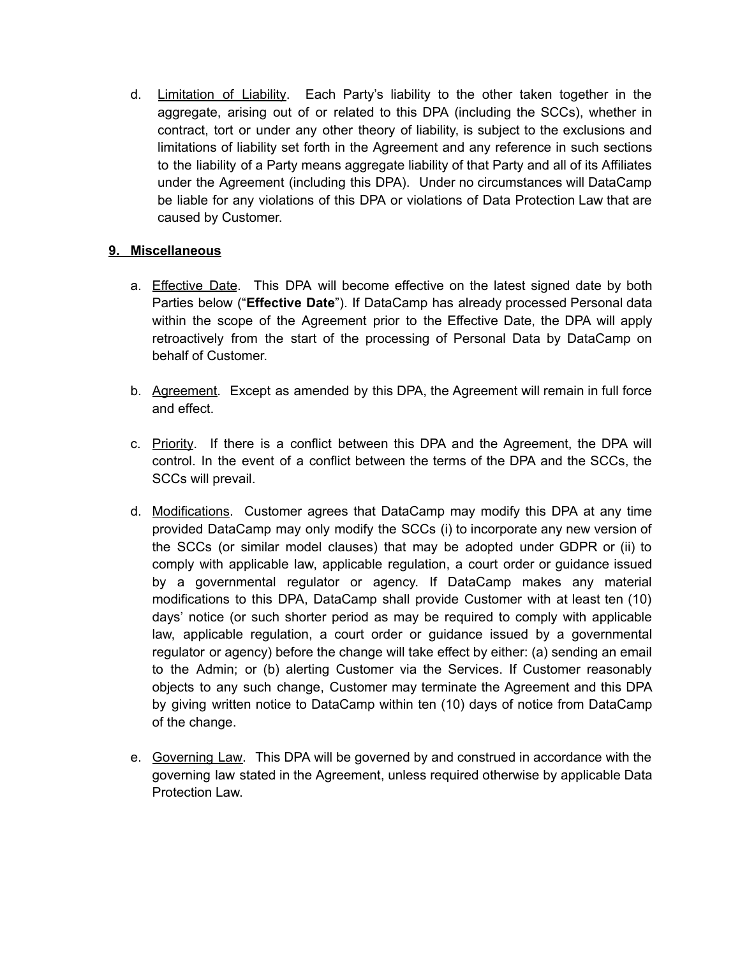d. Limitation of Liability. Each Party's liability to the other taken together in the aggregate, arising out of or related to this DPA (including the SCCs), whether in contract, tort or under any other theory of liability, is subject to the exclusions and limitations of liability set forth in the Agreement and any reference in such sections to the liability of a Party means aggregate liability of that Party and all of its Affiliates under the Agreement (including this DPA). Under no circumstances will DataCamp be liable for any violations of this DPA or violations of Data Protection Law that are caused by Customer.

# **9. Miscellaneous**

- a. Effective Date. This DPA will become effective on the latest signed date by both Parties below ("**Effective Date**"). If DataCamp has already processed Personal data within the scope of the Agreement prior to the Effective Date, the DPA will apply retroactively from the start of the processing of Personal Data by DataCamp on behalf of Customer.
- b. Agreement. Except as amended by this DPA, the Agreement will remain in full force and effect.
- c. Priority. If there is a conflict between this DPA and the Agreement, the DPA will control. In the event of a conflict between the terms of the DPA and the SCCs, the SCCs will prevail.
- d. Modifications. Customer agrees that DataCamp may modify this DPA at any time provided DataCamp may only modify the SCCs (i) to incorporate any new version of the SCCs (or similar model clauses) that may be adopted under GDPR or (ii) to comply with applicable law, applicable regulation, a court order or guidance issued by a governmental regulator or agency. If DataCamp makes any material modifications to this DPA, DataCamp shall provide Customer with at least ten (10) days' notice (or such shorter period as may be required to comply with applicable law, applicable regulation, a court order or guidance issued by a governmental regulator or agency) before the change will take effect by either: (a) sending an email to the Admin; or (b) alerting Customer via the Services. If Customer reasonably objects to any such change, Customer may terminate the Agreement and this DPA by giving written notice to DataCamp within ten (10) days of notice from DataCamp of the change.
- e. Governing Law. This DPA will be governed by and construed in accordance with the governing law stated in the Agreement, unless required otherwise by applicable Data Protection Law.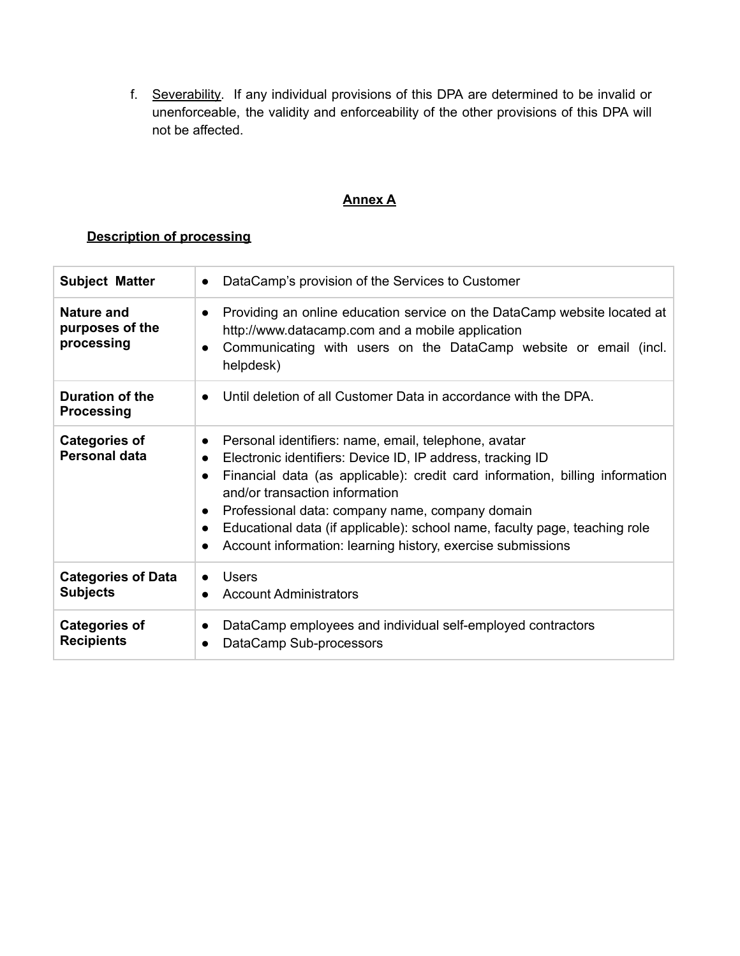f. Severability. If any individual provisions of this DPA are determined to be invalid or unenforceable, the validity and enforceability of the other provisions of this DPA will not be affected.

# **Annex A**

# **Description of processing**

| <b>Subject Matter</b>                        | DataCamp's provision of the Services to Customer                                                                                                                                                                                                                                                                                                                                                                                                                                                                   |  |
|----------------------------------------------|--------------------------------------------------------------------------------------------------------------------------------------------------------------------------------------------------------------------------------------------------------------------------------------------------------------------------------------------------------------------------------------------------------------------------------------------------------------------------------------------------------------------|--|
| Nature and<br>purposes of the<br>processing  | Providing an online education service on the DataCamp website located at<br>$\bullet$<br>http://www.datacamp.com and a mobile application<br>Communicating with users on the DataCamp website or email (incl.<br>$\bullet$<br>helpdesk)                                                                                                                                                                                                                                                                            |  |
| Duration of the<br><b>Processing</b>         | Until deletion of all Customer Data in accordance with the DPA.<br>$\bullet$                                                                                                                                                                                                                                                                                                                                                                                                                                       |  |
| <b>Categories of</b><br><b>Personal data</b> | Personal identifiers: name, email, telephone, avatar<br>$\bullet$<br>Electronic identifiers: Device ID, IP address, tracking ID<br>$\bullet$<br>Financial data (as applicable): credit card information, billing information<br>$\bullet$<br>and/or transaction information<br>Professional data: company name, company domain<br>$\bullet$<br>Educational data (if applicable): school name, faculty page, teaching role<br>$\bullet$<br>Account information: learning history, exercise submissions<br>$\bullet$ |  |
| <b>Categories of Data</b><br><b>Subjects</b> | Users<br>$\bullet$<br><b>Account Administrators</b><br>$\bullet$                                                                                                                                                                                                                                                                                                                                                                                                                                                   |  |
| <b>Categories of</b><br><b>Recipients</b>    | DataCamp employees and individual self-employed contractors<br>$\bullet$<br>DataCamp Sub-processors                                                                                                                                                                                                                                                                                                                                                                                                                |  |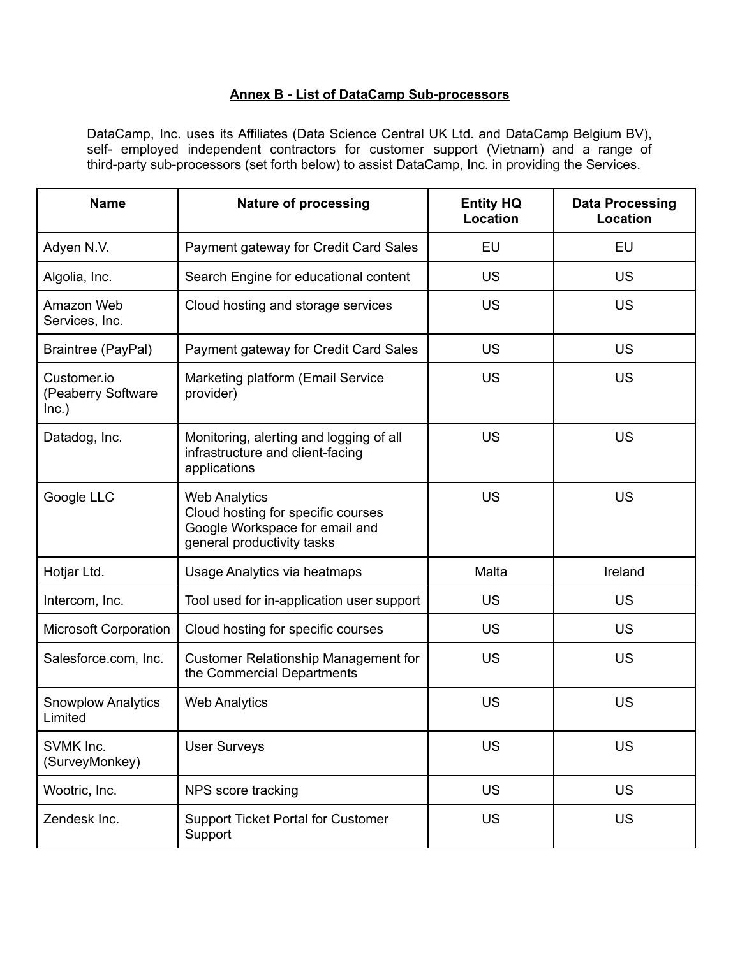# **Annex B - List of DataCamp Sub-processors**

DataCamp, Inc. uses its Affiliates (Data Science Central UK Ltd. and DataCamp Belgium BV), self- employed independent contractors for customer support (Vietnam) and a range of third-party sub-processors (set forth below) to assist DataCamp, Inc. in providing the Services.

| <b>Name</b>                                | <b>Nature of processing</b>                                                                                                | <b>Entity HQ</b><br>Location | <b>Data Processing</b><br>Location |
|--------------------------------------------|----------------------------------------------------------------------------------------------------------------------------|------------------------------|------------------------------------|
| Adyen N.V.                                 | Payment gateway for Credit Card Sales                                                                                      | EU                           | EU                                 |
| Algolia, Inc.                              | Search Engine for educational content                                                                                      | <b>US</b>                    | <b>US</b>                          |
| Amazon Web<br>Services, Inc.               | Cloud hosting and storage services                                                                                         | <b>US</b>                    | <b>US</b>                          |
| Braintree (PayPal)                         | Payment gateway for Credit Card Sales                                                                                      | <b>US</b>                    | <b>US</b>                          |
| Customer.io<br>(Peaberry Software<br>Inc.) | Marketing platform (Email Service<br>provider)                                                                             | <b>US</b>                    | <b>US</b>                          |
| Datadog, Inc.                              | Monitoring, alerting and logging of all<br>infrastructure and client-facing<br>applications                                | <b>US</b>                    | <b>US</b>                          |
| Google LLC                                 | <b>Web Analytics</b><br>Cloud hosting for specific courses<br>Google Workspace for email and<br>general productivity tasks | US                           | <b>US</b>                          |
| Hotjar Ltd.                                | Usage Analytics via heatmaps                                                                                               | Malta                        | Ireland                            |
| Intercom, Inc.                             | Tool used for in-application user support                                                                                  | <b>US</b>                    | <b>US</b>                          |
| <b>Microsoft Corporation</b>               | Cloud hosting for specific courses                                                                                         | <b>US</b>                    | <b>US</b>                          |
| Salesforce.com, Inc.                       | <b>Customer Relationship Management for</b><br>the Commercial Departments                                                  | US                           | <b>US</b>                          |
| <b>Snowplow Analytics</b><br>Limited       | <b>Web Analytics</b>                                                                                                       | <b>US</b>                    | <b>US</b>                          |
| SVMK Inc.<br>(SurveyMonkey)                | <b>User Surveys</b>                                                                                                        | <b>US</b>                    | <b>US</b>                          |
| Wootric, Inc.                              | NPS score tracking                                                                                                         | <b>US</b>                    | <b>US</b>                          |
| Zendesk Inc.                               | <b>Support Ticket Portal for Customer</b><br>Support                                                                       | <b>US</b>                    | <b>US</b>                          |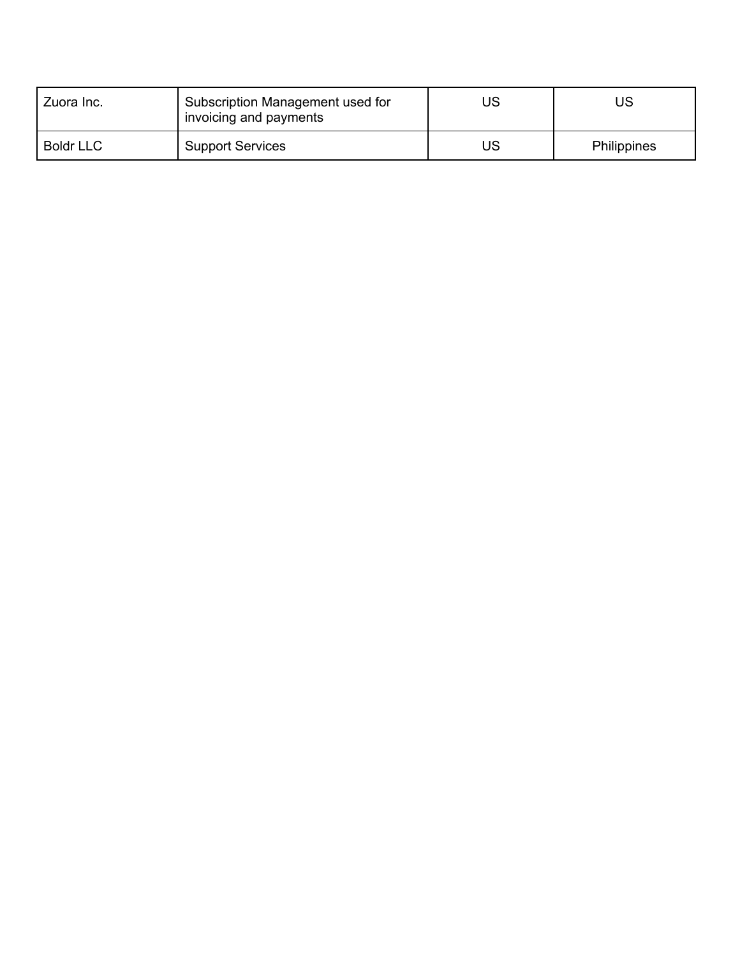| Zuora Inc.       | Subscription Management used for<br>invoicing and payments | JS | US                 |
|------------------|------------------------------------------------------------|----|--------------------|
| <b>Boldr LLC</b> | <b>Support Services</b>                                    | JS | <b>Philippines</b> |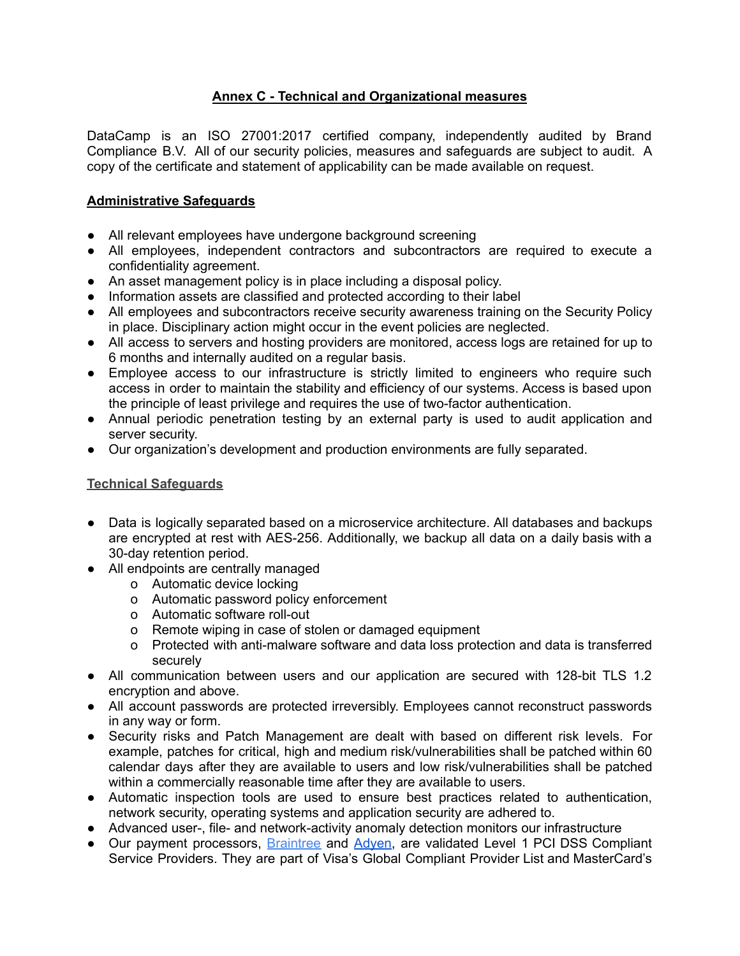# **Annex C - Technical and Organizational measures**

DataCamp is an ISO 27001:2017 certified company, independently audited by Brand Compliance B.V. All of our security policies, measures and safeguards are subject to audit. A copy of the certificate and statement of applicability can be made available on request.

### **Administrative Safeguards**

- All relevant employees have undergone background screening
- All employees, independent contractors and subcontractors are required to execute a confidentiality agreement.
- An asset management policy is in place including a disposal policy.
- Information assets are classified and protected according to their label
- All employees and subcontractors receive security awareness training on the Security Policy in place. Disciplinary action might occur in the event policies are neglected.
- All access to servers and hosting providers are monitored, access logs are retained for up to 6 months and internally audited on a regular basis.
- Employee access to our infrastructure is strictly limited to engineers who require such access in order to maintain the stability and efficiency of our systems. Access is based upon the principle of least privilege and requires the use of two-factor authentication.
- Annual periodic penetration testing by an external party is used to audit application and server security.
- Our organization's development and production environments are fully separated.

### **Technical Safeguards**

- Data is logically separated based on a microservice architecture. All databases and backups are encrypted at rest with AES-256. Additionally, we backup all data on a daily basis with a 30-day retention period.
- All endpoints are centrally managed
	- o Automatic device locking
	- o Automatic password policy enforcement
	- o Automatic software roll-out
	- o Remote wiping in case of stolen or damaged equipment
	- o Protected with anti-malware software and data loss protection and data is transferred securely
- All communication between users and our application are secured with 128-bit TLS 1.2 encryption and above.
- All account passwords are protected irreversibly. Employees cannot reconstruct passwords in any way or form.
- Security risks and Patch Management are dealt with based on different risk levels. For example, patches for critical, high and medium risk/vulnerabilities shall be patched within 60 calendar days after they are available to users and low risk/vulnerabilities shall be patched within a commercially reasonable time after they are available to users.
- Automatic inspection tools are used to ensure best practices related to authentication, network security, operating systems and application security are adhered to.
- Advanced user-, file- and network-activity anomaly detection monitors our infrastructure
- Our payment processors, **[Braintree](https://www.braintreepayments.com/features/data-security) and Adven**, are validated Level 1 PCI DSS Compliant Service Providers. They are part of Visa's Global Compliant Provider List and MasterCard's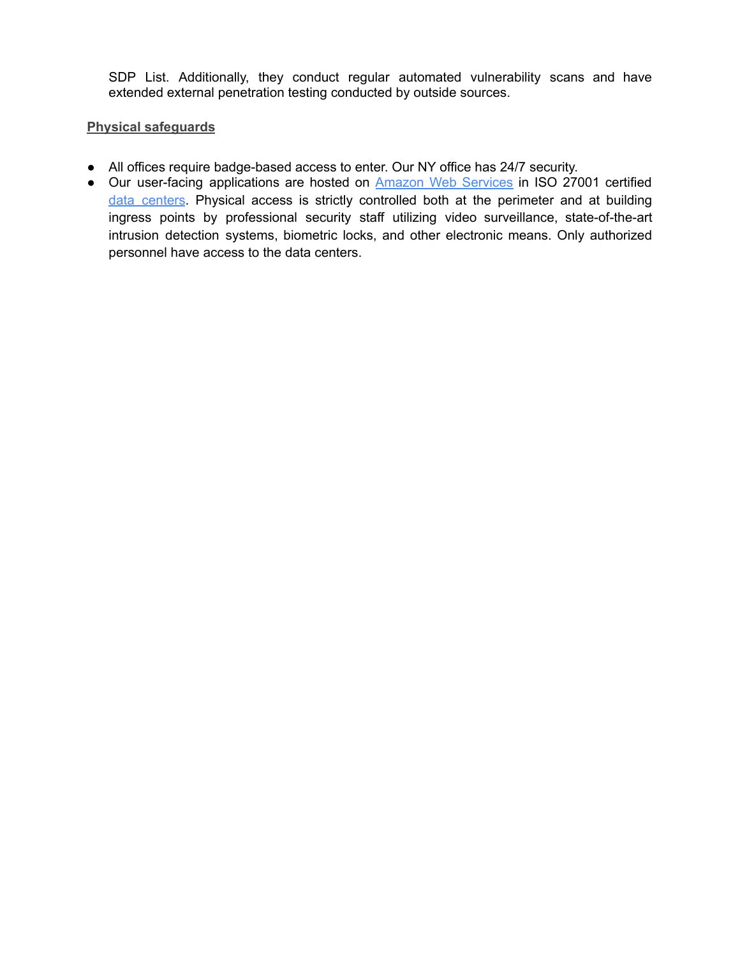SDP List. Additionally, they conduct regular automated vulnerability scans and have extended external penetration testing conducted by outside sources.

### **Physical safeguards**

- All offices require badge-based access to enter. Our NY office has 24/7 security.
- Our user-facing applications are hosted on **Amazon Web [Services](https://aws.amazon.com/security/)** in ISO 27001 certified data [centers](https://aws.amazon.com/compliance/data-center/controls/). Physical access is strictly controlled both at the perimeter and at building ingress points by professional security staff utilizing video surveillance, state-of-the-art intrusion detection systems, biometric locks, and other electronic means. Only authorized personnel have access to the data centers.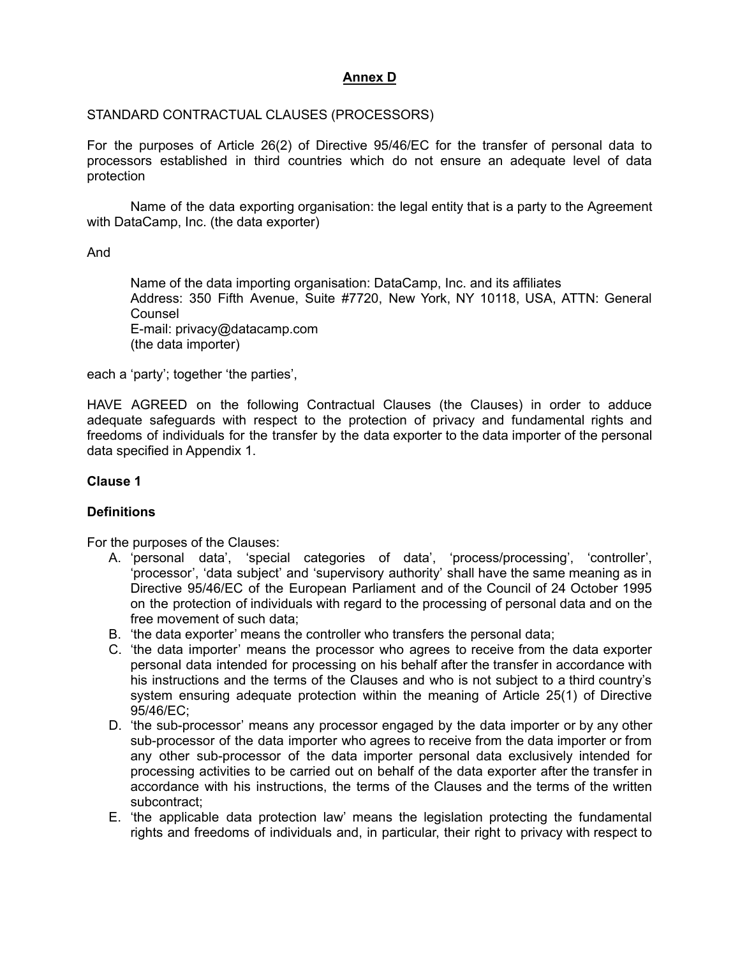### **Annex D**

#### STANDARD CONTRACTUAL CLAUSES (PROCESSORS)

For the purposes of Article 26(2) of Directive 95/46/EC for the transfer of personal data to processors established in third countries which do not ensure an adequate level of data protection

Name of the data exporting organisation: the legal entity that is a party to the Agreement with DataCamp, Inc. (the data exporter)

#### And

Name of the data importing organisation: DataCamp, Inc. and its affiliates Address: 350 Fifth Avenue, Suite #7720, New York, NY 10118, USA, ATTN: General Counsel E-mail: privacy@datacamp.com (the data importer)

each a 'party'; together 'the parties',

HAVE AGREED on the following Contractual Clauses (the Clauses) in order to adduce adequate safeguards with respect to the protection of privacy and fundamental rights and freedoms of individuals for the transfer by the data exporter to the data importer of the personal data specified in Appendix 1.

### **Clause 1**

### **Definitions**

For the purposes of the Clauses:

- A. 'personal data', 'special categories of data', 'process/processing', 'controller', 'processor', 'data subject' and 'supervisory authority' shall have the same meaning as in Directive 95/46/EC of the European Parliament and of the Council of 24 October 1995 on the protection of individuals with regard to the processing of personal data and on the free movement of such data;
- B. 'the data exporter' means the controller who transfers the personal data;
- C. 'the data importer' means the processor who agrees to receive from the data exporter personal data intended for processing on his behalf after the transfer in accordance with his instructions and the terms of the Clauses and who is not subject to a third country's system ensuring adequate protection within the meaning of Article 25(1) of Directive 95/46/EC;
- D. 'the sub-processor' means any processor engaged by the data importer or by any other sub-processor of the data importer who agrees to receive from the data importer or from any other sub-processor of the data importer personal data exclusively intended for processing activities to be carried out on behalf of the data exporter after the transfer in accordance with his instructions, the terms of the Clauses and the terms of the written subcontract;
- E. 'the applicable data protection law' means the legislation protecting the fundamental rights and freedoms of individuals and, in particular, their right to privacy with respect to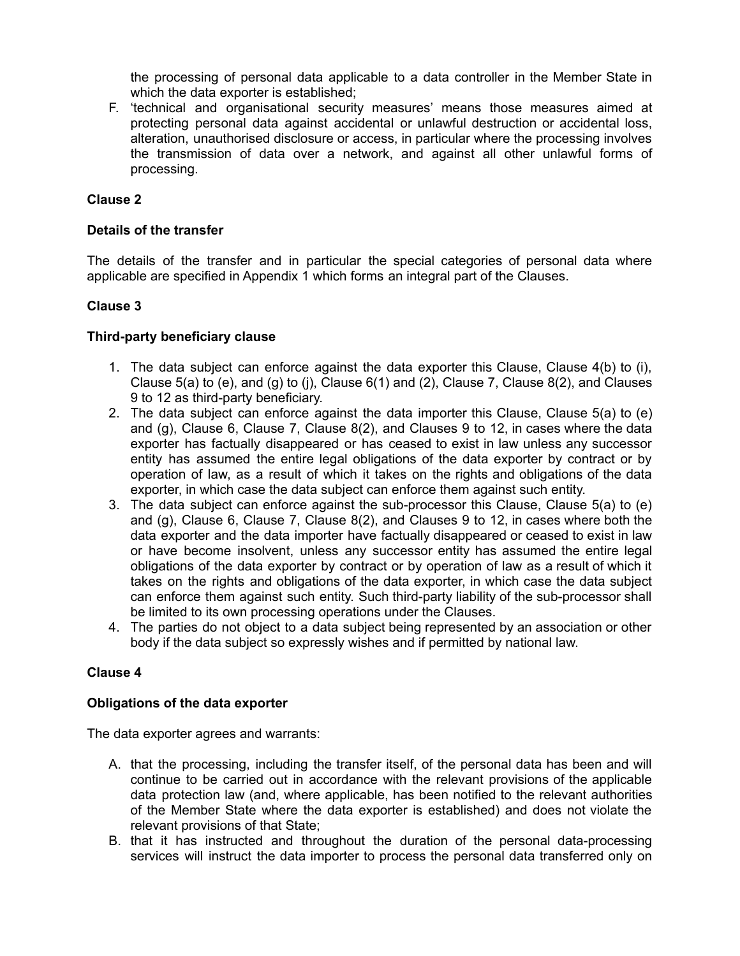the processing of personal data applicable to a data controller in the Member State in which the data exporter is established;

F. 'technical and organisational security measures' means those measures aimed at protecting personal data against accidental or unlawful destruction or accidental loss, alteration, unauthorised disclosure or access, in particular where the processing involves the transmission of data over a network, and against all other unlawful forms of processing.

### **Clause 2**

#### **Details of the transfer**

The details of the transfer and in particular the special categories of personal data where applicable are specified in Appendix 1 which forms an integral part of the Clauses.

### **Clause 3**

#### **Third-party beneficiary clause**

- 1. The data subject can enforce against the data exporter this Clause, Clause 4(b) to (i), Clause  $5(a)$  to (e), and (g) to (j), Clause  $6(1)$  and (2), Clause 7, Clause  $8(2)$ , and Clauses 9 to 12 as third-party beneficiary.
- 2. The data subject can enforce against the data importer this Clause, Clause 5(a) to (e) and (g), Clause 6, Clause 7, Clause 8(2), and Clauses 9 to 12, in cases where the data exporter has factually disappeared or has ceased to exist in law unless any successor entity has assumed the entire legal obligations of the data exporter by contract or by operation of law, as a result of which it takes on the rights and obligations of the data exporter, in which case the data subject can enforce them against such entity.
- 3. The data subject can enforce against the sub-processor this Clause, Clause 5(a) to (e) and (g), Clause 6, Clause 7, Clause 8(2), and Clauses 9 to 12, in cases where both the data exporter and the data importer have factually disappeared or ceased to exist in law or have become insolvent, unless any successor entity has assumed the entire legal obligations of the data exporter by contract or by operation of law as a result of which it takes on the rights and obligations of the data exporter, in which case the data subject can enforce them against such entity. Such third-party liability of the sub-processor shall be limited to its own processing operations under the Clauses.
- 4. The parties do not object to a data subject being represented by an association or other body if the data subject so expressly wishes and if permitted by national law.

### **Clause 4**

#### **Obligations of the data exporter**

The data exporter agrees and warrants:

- A. that the processing, including the transfer itself, of the personal data has been and will continue to be carried out in accordance with the relevant provisions of the applicable data protection law (and, where applicable, has been notified to the relevant authorities of the Member State where the data exporter is established) and does not violate the relevant provisions of that State;
- B. that it has instructed and throughout the duration of the personal data-processing services will instruct the data importer to process the personal data transferred only on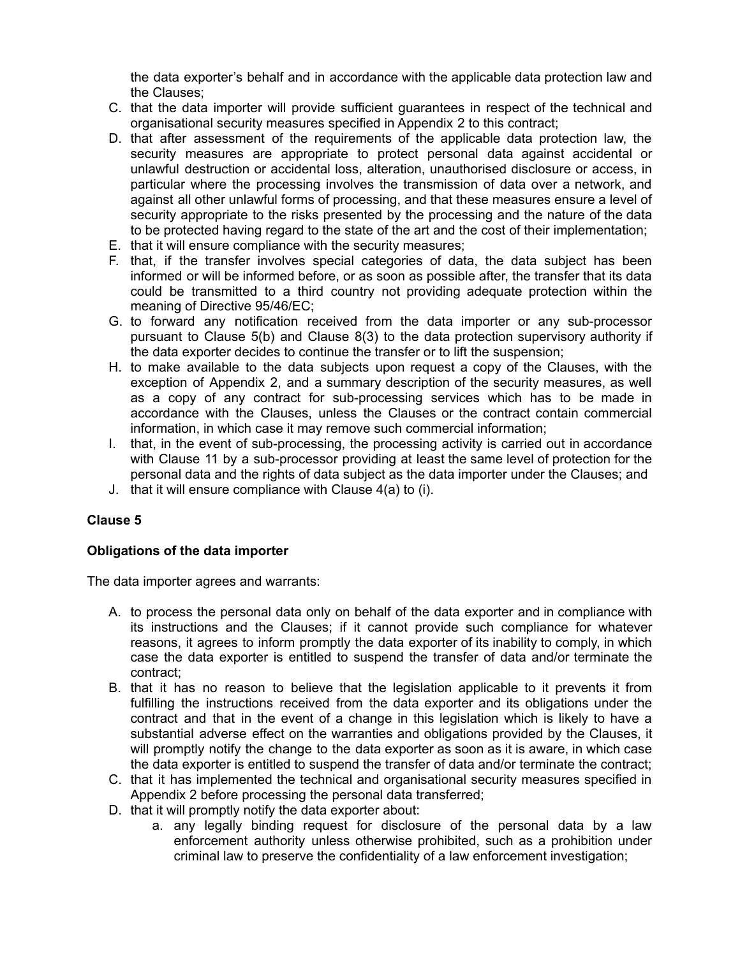the data exporter's behalf and in accordance with the applicable data protection law and the Clauses;

- C. that the data importer will provide sufficient guarantees in respect of the technical and organisational security measures specified in Appendix 2 to this contract;
- D. that after assessment of the requirements of the applicable data protection law, the security measures are appropriate to protect personal data against accidental or unlawful destruction or accidental loss, alteration, unauthorised disclosure or access, in particular where the processing involves the transmission of data over a network, and against all other unlawful forms of processing, and that these measures ensure a level of security appropriate to the risks presented by the processing and the nature of the data to be protected having regard to the state of the art and the cost of their implementation;
- E. that it will ensure compliance with the security measures;
- F. that, if the transfer involves special categories of data, the data subject has been informed or will be informed before, or as soon as possible after, the transfer that its data could be transmitted to a third country not providing adequate protection within the meaning of Directive 95/46/EC;
- G. to forward any notification received from the data importer or any sub-processor pursuant to Clause 5(b) and Clause 8(3) to the data protection supervisory authority if the data exporter decides to continue the transfer or to lift the suspension;
- H. to make available to the data subjects upon request a copy of the Clauses, with the exception of Appendix 2, and a summary description of the security measures, as well as a copy of any contract for sub-processing services which has to be made in accordance with the Clauses, unless the Clauses or the contract contain commercial information, in which case it may remove such commercial information;
- I. that, in the event of sub-processing, the processing activity is carried out in accordance with Clause 11 by a sub-processor providing at least the same level of protection for the personal data and the rights of data subject as the data importer under the Clauses; and
- J. that it will ensure compliance with Clause 4(a) to (i).

# **Clause 5**

### **Obligations of the data importer**

The data importer agrees and warrants:

- A. to process the personal data only on behalf of the data exporter and in compliance with its instructions and the Clauses; if it cannot provide such compliance for whatever reasons, it agrees to inform promptly the data exporter of its inability to comply, in which case the data exporter is entitled to suspend the transfer of data and/or terminate the contract;
- B. that it has no reason to believe that the legislation applicable to it prevents it from fulfilling the instructions received from the data exporter and its obligations under the contract and that in the event of a change in this legislation which is likely to have a substantial adverse effect on the warranties and obligations provided by the Clauses, it will promptly notify the change to the data exporter as soon as it is aware, in which case the data exporter is entitled to suspend the transfer of data and/or terminate the contract;
- C. that it has implemented the technical and organisational security measures specified in Appendix 2 before processing the personal data transferred;
- D. that it will promptly notify the data exporter about:
	- a. any legally binding request for disclosure of the personal data by a law enforcement authority unless otherwise prohibited, such as a prohibition under criminal law to preserve the confidentiality of a law enforcement investigation;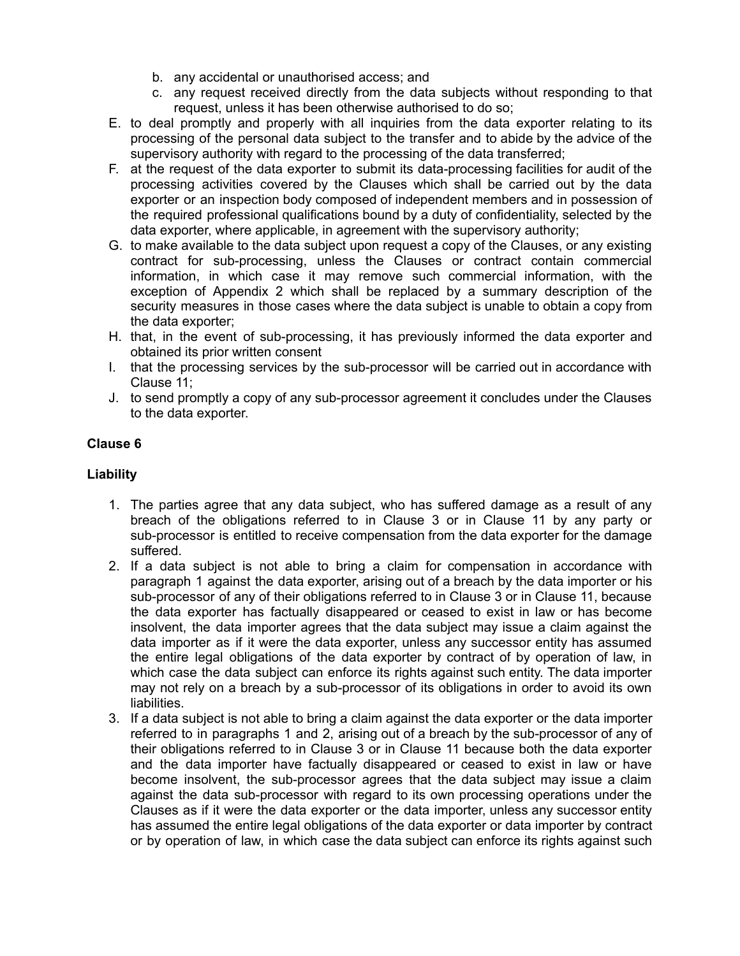- b. any accidental or unauthorised access; and
- c. any request received directly from the data subjects without responding to that request, unless it has been otherwise authorised to do so;
- E. to deal promptly and properly with all inquiries from the data exporter relating to its processing of the personal data subject to the transfer and to abide by the advice of the supervisory authority with regard to the processing of the data transferred;
- F. at the request of the data exporter to submit its data-processing facilities for audit of the processing activities covered by the Clauses which shall be carried out by the data exporter or an inspection body composed of independent members and in possession of the required professional qualifications bound by a duty of confidentiality, selected by the data exporter, where applicable, in agreement with the supervisory authority;
- G. to make available to the data subject upon request a copy of the Clauses, or any existing contract for sub-processing, unless the Clauses or contract contain commercial information, in which case it may remove such commercial information, with the exception of Appendix 2 which shall be replaced by a summary description of the security measures in those cases where the data subject is unable to obtain a copy from the data exporter;
- H. that, in the event of sub-processing, it has previously informed the data exporter and obtained its prior written consent
- I. that the processing services by the sub-processor will be carried out in accordance with Clause 11;
- J. to send promptly a copy of any sub-processor agreement it concludes under the Clauses to the data exporter.

# **Clause 6**

# **Liability**

- 1. The parties agree that any data subject, who has suffered damage as a result of any breach of the obligations referred to in Clause 3 or in Clause 11 by any party or sub-processor is entitled to receive compensation from the data exporter for the damage suffered.
- 2. If a data subject is not able to bring a claim for compensation in accordance with paragraph 1 against the data exporter, arising out of a breach by the data importer or his sub-processor of any of their obligations referred to in Clause 3 or in Clause 11, because the data exporter has factually disappeared or ceased to exist in law or has become insolvent, the data importer agrees that the data subject may issue a claim against the data importer as if it were the data exporter, unless any successor entity has assumed the entire legal obligations of the data exporter by contract of by operation of law, in which case the data subject can enforce its rights against such entity. The data importer may not rely on a breach by a sub-processor of its obligations in order to avoid its own liabilities.
- 3. If a data subject is not able to bring a claim against the data exporter or the data importer referred to in paragraphs 1 and 2, arising out of a breach by the sub-processor of any of their obligations referred to in Clause 3 or in Clause 11 because both the data exporter and the data importer have factually disappeared or ceased to exist in law or have become insolvent, the sub-processor agrees that the data subject may issue a claim against the data sub-processor with regard to its own processing operations under the Clauses as if it were the data exporter or the data importer, unless any successor entity has assumed the entire legal obligations of the data exporter or data importer by contract or by operation of law, in which case the data subject can enforce its rights against such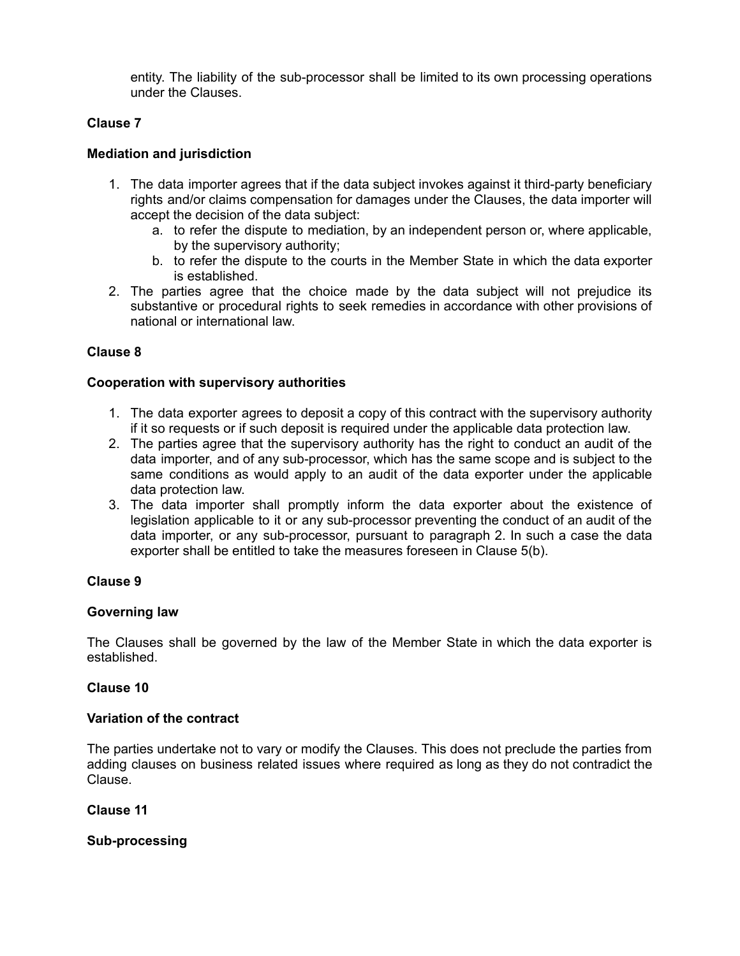entity. The liability of the sub-processor shall be limited to its own processing operations under the Clauses.

### **Clause 7**

### **Mediation and jurisdiction**

- 1. The data importer agrees that if the data subject invokes against it third-party beneficiary rights and/or claims compensation for damages under the Clauses, the data importer will accept the decision of the data subject:
	- a. to refer the dispute to mediation, by an independent person or, where applicable, by the supervisory authority;
	- b. to refer the dispute to the courts in the Member State in which the data exporter is established.
- 2. The parties agree that the choice made by the data subject will not prejudice its substantive or procedural rights to seek remedies in accordance with other provisions of national or international law.

### **Clause 8**

### **Cooperation with supervisory authorities**

- 1. The data exporter agrees to deposit a copy of this contract with the supervisory authority if it so requests or if such deposit is required under the applicable data protection law.
- 2. The parties agree that the supervisory authority has the right to conduct an audit of the data importer, and of any sub-processor, which has the same scope and is subject to the same conditions as would apply to an audit of the data exporter under the applicable data protection law.
- 3. The data importer shall promptly inform the data exporter about the existence of legislation applicable to it or any sub-processor preventing the conduct of an audit of the data importer, or any sub-processor, pursuant to paragraph 2. In such a case the data exporter shall be entitled to take the measures foreseen in Clause 5(b).

#### **Clause 9**

#### **Governing law**

The Clauses shall be governed by the law of the Member State in which the data exporter is established.

#### **Clause 10**

#### **Variation of the contract**

The parties undertake not to vary or modify the Clauses. This does not preclude the parties from adding clauses on business related issues where required as long as they do not contradict the Clause.

#### **Clause 11**

**Sub-processing**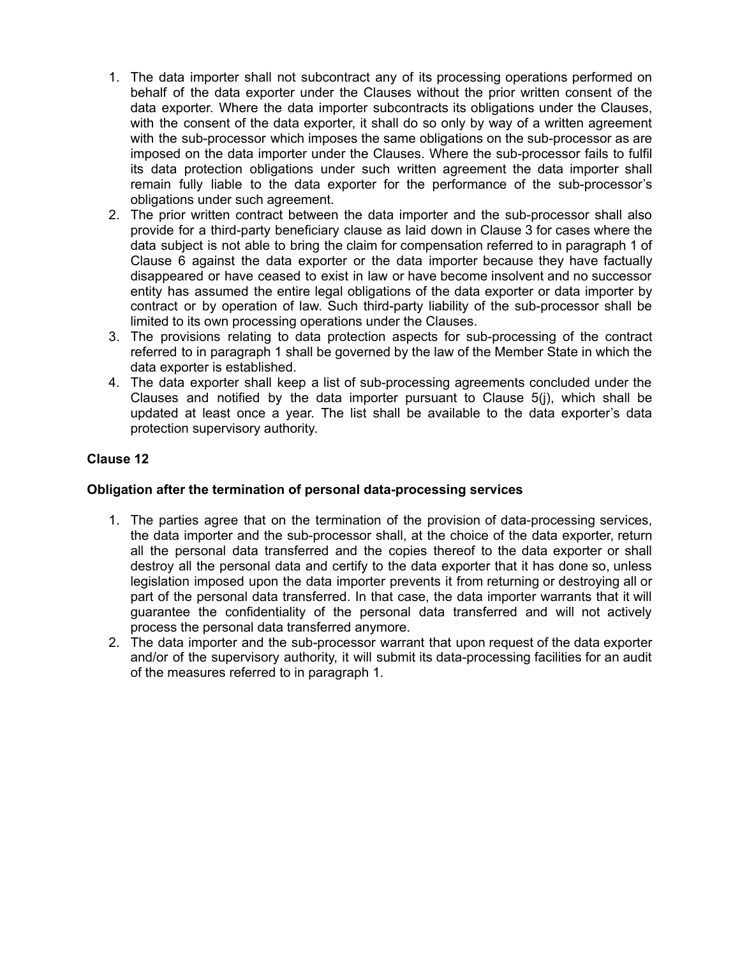- 1. The data importer shall not subcontract any of its processing operations performed on behalf of the data exporter under the Clauses without the prior written consent of the data exporter. Where the data importer subcontracts its obligations under the Clauses, with the consent of the data exporter, it shall do so only by way of a written agreement with the sub-processor which imposes the same obligations on the sub-processor as are imposed on the data importer under the Clauses. Where the sub-processor fails to fulfil its data protection obligations under such written agreement the data importer shall remain fully liable to the data exporter for the performance of the sub-processor's obligations under such agreement.
- 2. The prior written contract between the data importer and the sub-processor shall also provide for a third-party beneficiary clause as laid down in Clause 3 for cases where the data subject is not able to bring the claim for compensation referred to in paragraph 1 of Clause 6 against the data exporter or the data importer because they have factually disappeared or have ceased to exist in law or have become insolvent and no successor entity has assumed the entire legal obligations of the data exporter or data importer by contract or by operation of law. Such third-party liability of the sub-processor shall be limited to its own processing operations under the Clauses.
- 3. The provisions relating to data protection aspects for sub-processing of the contract referred to in paragraph 1 shall be governed by the law of the Member State in which the data exporter is established.
- 4. The data exporter shall keep a list of sub-processing agreements concluded under the Clauses and notified by the data importer pursuant to Clause 5(j), which shall be updated at least once a year. The list shall be available to the data exporter's data protection supervisory authority.

# **Clause 12**

### **Obligation after the termination of personal data-processing services**

- 1. The parties agree that on the termination of the provision of data-processing services, the data importer and the sub-processor shall, at the choice of the data exporter, return all the personal data transferred and the copies thereof to the data exporter or shall destroy all the personal data and certify to the data exporter that it has done so, unless legislation imposed upon the data importer prevents it from returning or destroying all or part of the personal data transferred. In that case, the data importer warrants that it will guarantee the confidentiality of the personal data transferred and will not actively process the personal data transferred anymore.
- 2. The data importer and the sub-processor warrant that upon request of the data exporter and/or of the supervisory authority, it will submit its data-processing facilities for an audit of the measures referred to in paragraph 1.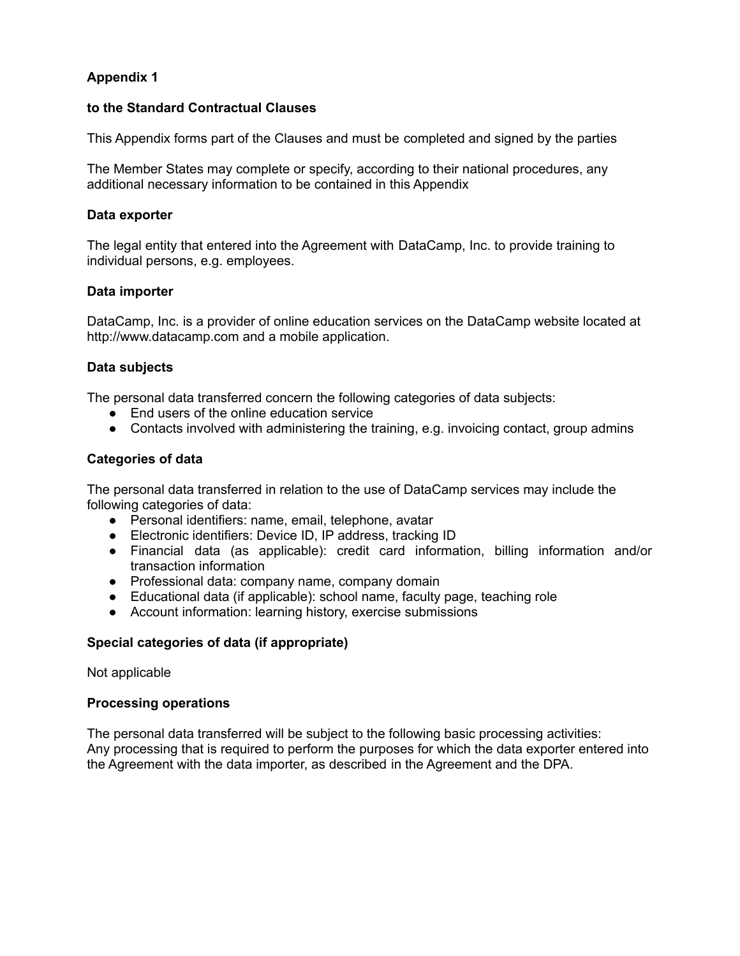# **Appendix 1**

#### **to the Standard Contractual Clauses**

This Appendix forms part of the Clauses and must be completed and signed by the parties

The Member States may complete or specify, according to their national procedures, any additional necessary information to be contained in this Appendix

#### **Data exporter**

The legal entity that entered into the Agreement with DataCamp, Inc. to provide training to individual persons, e.g. employees.

### **Data importer**

DataCamp, Inc. is a provider of online education services on the DataCamp website located at http://www.datacamp.com and a mobile application.

### **Data subjects**

The personal data transferred concern the following categories of data subjects:

- End users of the online education service
- Contacts involved with administering the training, e.g. invoicing contact, group admins

### **Categories of data**

The personal data transferred in relation to the use of DataCamp services may include the following categories of data:

- Personal identifiers: name, email, telephone, avatar
- Electronic identifiers: Device ID, IP address, tracking ID
- Financial data (as applicable): credit card information, billing information and/or transaction information
- Professional data: company name, company domain
- Educational data (if applicable): school name, faculty page, teaching role
- Account information: learning history, exercise submissions

### **Special categories of data (if appropriate)**

#### Not applicable

#### **Processing operations**

The personal data transferred will be subject to the following basic processing activities: Any processing that is required to perform the purposes for which the data exporter entered into the Agreement with the data importer, as described in the Agreement and the DPA.